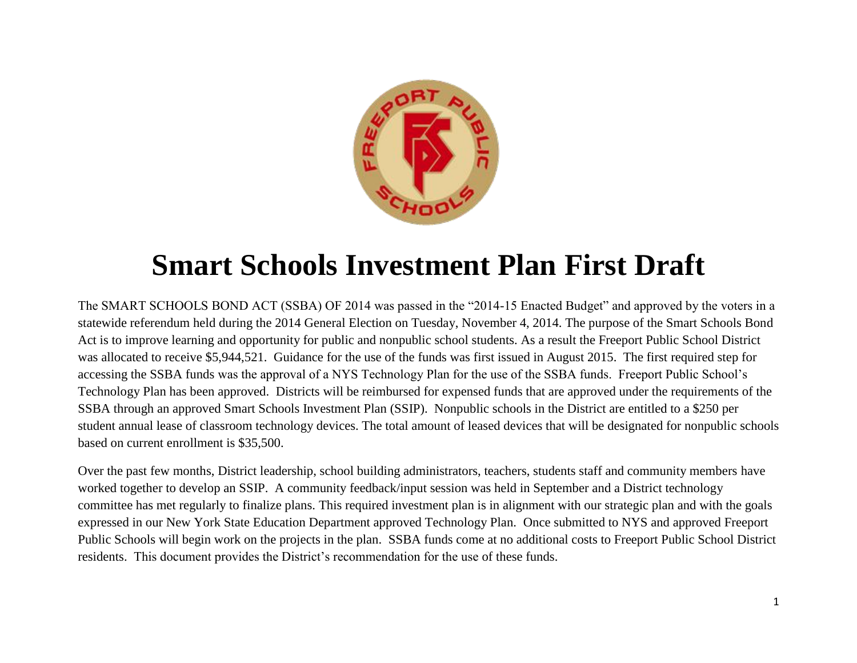

# **Smart Schools Investment Plan First Draft**

The SMART SCHOOLS BOND ACT (SSBA) OF 2014 was passed in the "2014-15 Enacted Budget" and approved by the voters in a statewide referendum held during the 2014 General Election on Tuesday, November 4, 2014. The purpose of the Smart Schools Bond Act is to improve learning and opportunity for public and nonpublic school students. As a result the Freeport Public School District was allocated to receive \$5,944,521. Guidance for the use of the funds was first issued in August 2015. The first required step for accessing the SSBA funds was the approval of a NYS Technology Plan for the use of the SSBA funds. Freeport Public School's Technology Plan has been approved. Districts will be reimbursed for expensed funds that are approved under the requirements of the SSBA through an approved Smart Schools Investment Plan (SSIP). Nonpublic schools in the District are entitled to a \$250 per student annual lease of classroom technology devices. The total amount of leased devices that will be designated for nonpublic schools based on current enrollment is \$35,500.

Over the past few months, District leadership, school building administrators, teachers, students staff and community members have worked together to develop an SSIP. A community feedback/input session was held in September and a District technology committee has met regularly to finalize plans. This required investment plan is in alignment with our strategic plan and with the goals expressed in our New York State Education Department approved Technology Plan. Once submitted to NYS and approved Freeport Public Schools will begin work on the projects in the plan. SSBA funds come at no additional costs to Freeport Public School District residents. This document provides the District's recommendation for the use of these funds.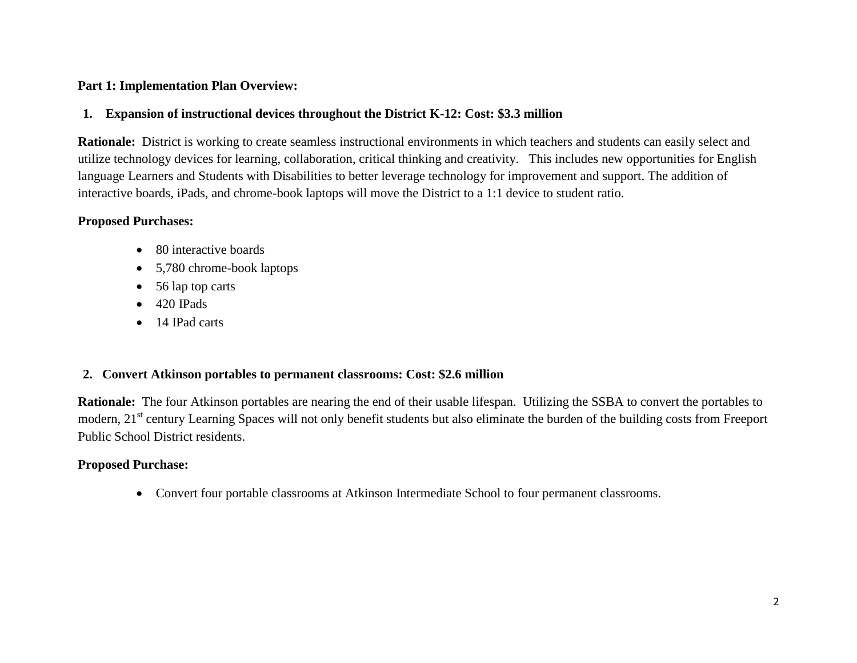## **Part 1: Implementation Plan Overview:**

## **1. Expansion of instructional devices throughout the District K-12: Cost: \$3.3 million**

**Rationale:** District is working to create seamless instructional environments in which teachers and students can easily select and utilize technology devices for learning, collaboration, critical thinking and creativity. This includes new opportunities for English language Learners and Students with Disabilities to better leverage technology for improvement and support. The addition of interactive boards, iPads, and chrome-book laptops will move the District to a 1:1 device to student ratio.

## **Proposed Purchases:**

- 80 interactive boards
- 5,780 chrome-book laptops
- 56 lap top carts
- $\bullet$  420 IPads
- 14 IPad carts

# **2. Convert Atkinson portables to permanent classrooms: Cost: \$2.6 million**

**Rationale:** The four Atkinson portables are nearing the end of their usable lifespan. Utilizing the SSBA to convert the portables to modern, 21<sup>st</sup> century Learning Spaces will not only benefit students but also eliminate the burden of the building costs from Freeport Public School District residents.

# **Proposed Purchase:**

Convert four portable classrooms at Atkinson Intermediate School to four permanent classrooms.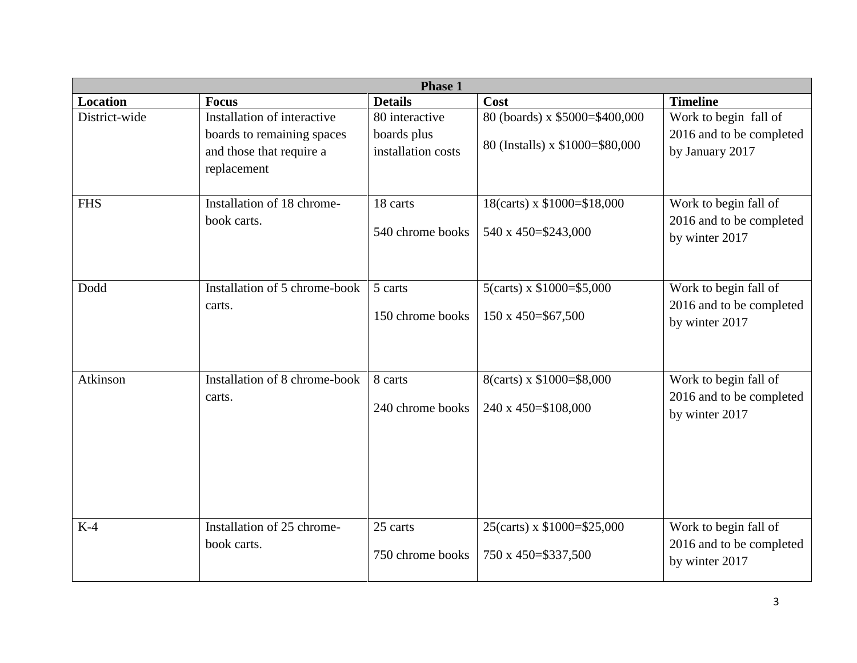| Phase 1         |                                                        |                    |                                 |                          |  |  |
|-----------------|--------------------------------------------------------|--------------------|---------------------------------|--------------------------|--|--|
| <b>Location</b> | <b>Focus</b>                                           | <b>Details</b>     | Cost                            | <b>Timeline</b>          |  |  |
| District-wide   | Installation of interactive                            | 80 interactive     | 80 (boards) x \$5000=\$400,000  | Work to begin fall of    |  |  |
|                 | boards to remaining spaces<br>and those that require a | boards plus        | 80 (Installs) x \$1000=\$80,000 | 2016 and to be completed |  |  |
|                 |                                                        | installation costs |                                 | by January 2017          |  |  |
|                 | replacement                                            |                    |                                 |                          |  |  |
|                 |                                                        |                    |                                 |                          |  |  |
| <b>FHS</b>      | Installation of 18 chrome-                             | 18 carts           | 18(carts) x \$1000=\$18,000     | Work to begin fall of    |  |  |
|                 | book carts.                                            |                    |                                 | 2016 and to be completed |  |  |
|                 |                                                        | 540 chrome books   | 540 x 450=\$243,000             | by winter 2017           |  |  |
|                 |                                                        |                    |                                 |                          |  |  |
|                 |                                                        |                    |                                 |                          |  |  |
| Dodd            | Installation of 5 chrome-book                          | 5 carts            | 5(carts) x $$1000 = $5,000$     | Work to begin fall of    |  |  |
|                 | carts.                                                 |                    |                                 | 2016 and to be completed |  |  |
|                 |                                                        | 150 chrome books   | 150 x 450=\$67,500              | by winter 2017           |  |  |
|                 |                                                        |                    |                                 |                          |  |  |
|                 |                                                        |                    |                                 |                          |  |  |
| Atkinson        | Installation of 8 chrome-book                          | 8 carts            | 8(carts) x \$1000=\$8,000       | Work to begin fall of    |  |  |
|                 | carts.                                                 |                    |                                 | 2016 and to be completed |  |  |
|                 |                                                        | 240 chrome books   | 240 x 450=\$108,000             | by winter 2017           |  |  |
|                 |                                                        |                    |                                 |                          |  |  |
|                 |                                                        |                    |                                 |                          |  |  |
|                 |                                                        |                    |                                 |                          |  |  |
|                 |                                                        |                    |                                 |                          |  |  |
|                 |                                                        |                    |                                 |                          |  |  |
|                 |                                                        |                    |                                 |                          |  |  |
| $K-4$           | Installation of 25 chrome-                             | 25 carts           | 25(carts) x \$1000=\$25,000     | Work to begin fall of    |  |  |
|                 | book carts.                                            | 750 chrome books   | 750 x 450=\$337,500             | 2016 and to be completed |  |  |
|                 |                                                        |                    |                                 | by winter 2017           |  |  |
|                 |                                                        |                    |                                 |                          |  |  |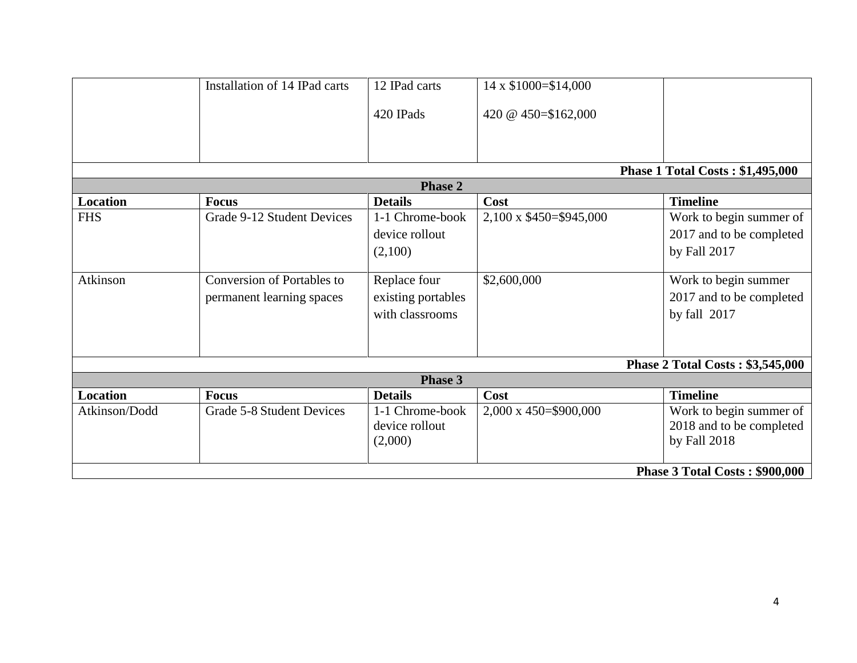|                                         | Installation of 14 IPad carts     | 12 IPad carts      | 14 x \$1000=\$14,000          |                          |  |  |
|-----------------------------------------|-----------------------------------|--------------------|-------------------------------|--------------------------|--|--|
|                                         |                                   | 420 IPads          | 420 @ 450=\$162,000           |                          |  |  |
|                                         |                                   |                    |                               |                          |  |  |
| <b>Phase 1 Total Costs: \$1,495,000</b> |                                   |                    |                               |                          |  |  |
| <b>Phase 2</b>                          |                                   |                    |                               |                          |  |  |
| <b>Location</b>                         | <b>Focus</b>                      | <b>Details</b>     | Cost                          | <b>Timeline</b>          |  |  |
| <b>FHS</b>                              | Grade 9-12 Student Devices        | 1-1 Chrome-book    | 2,100 x \$450=\$945,000       | Work to begin summer of  |  |  |
|                                         |                                   | device rollout     |                               | 2017 and to be completed |  |  |
|                                         |                                   | (2,100)            |                               | by Fall 2017             |  |  |
| Atkinson                                | <b>Conversion of Portables to</b> | Replace four       | \$2,600,000                   | Work to begin summer     |  |  |
|                                         | permanent learning spaces         | existing portables |                               | 2017 and to be completed |  |  |
|                                         |                                   | with classrooms    |                               | by fall 2017             |  |  |
|                                         |                                   |                    |                               |                          |  |  |
| Phase 2 Total Costs: \$3,545,000        |                                   |                    |                               |                          |  |  |
| <b>Phase 3</b>                          |                                   |                    |                               |                          |  |  |
| <b>Location</b>                         | Focus                             | <b>Details</b>     | Cost                          | <b>Timeline</b>          |  |  |
| Atkinson/Dodd                           | Grade 5-8 Student Devices         | 1-1 Chrome-book    | $2,000 \times 450 = $900,000$ | Work to begin summer of  |  |  |
|                                         |                                   | device rollout     |                               | 2018 and to be completed |  |  |
|                                         |                                   | (2,000)            |                               | by Fall 2018             |  |  |
|                                         |                                   |                    |                               |                          |  |  |
| <b>Phase 3 Total Costs: \$900,000</b>   |                                   |                    |                               |                          |  |  |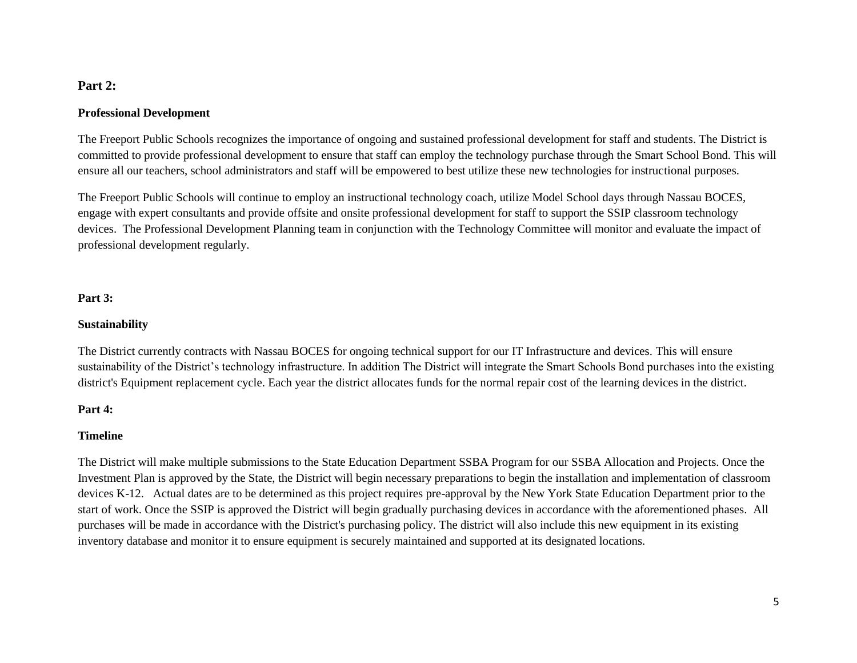## **Part 2:**

#### **Professional Development**

The Freeport Public Schools recognizes the importance of ongoing and sustained professional development for staff and students. The District is committed to provide professional development to ensure that staff can employ the technology purchase through the Smart School Bond. This will ensure all our teachers, school administrators and staff will be empowered to best utilize these new technologies for instructional purposes.

The Freeport Public Schools will continue to employ an instructional technology coach, utilize Model School days through Nassau BOCES, engage with expert consultants and provide offsite and onsite professional development for staff to support the SSIP classroom technology devices. The Professional Development Planning team in conjunction with the Technology Committee will monitor and evaluate the impact of professional development regularly.

#### **Part 3:**

#### **Sustainability**

The District currently contracts with Nassau BOCES for ongoing technical support for our IT Infrastructure and devices. This will ensure sustainability of the District's technology infrastructure. In addition The District will integrate the Smart Schools Bond purchases into the existing district's Equipment replacement cycle. Each year the district allocates funds for the normal repair cost of the learning devices in the district.

#### **Part 4:**

#### **Timeline**

The District will make multiple submissions to the State Education Department SSBA Program for our SSBA Allocation and Projects. Once the Investment Plan is approved by the State, the District will begin necessary preparations to begin the installation and implementation of classroom devices K-12. Actual dates are to be determined as this project requires pre-approval by the New York State Education Department prior to the start of work. Once the SSIP is approved the District will begin gradually purchasing devices in accordance with the aforementioned phases. All purchases will be made in accordance with the District's purchasing policy. The district will also include this new equipment in its existing inventory database and monitor it to ensure equipment is securely maintained and supported at its designated locations.